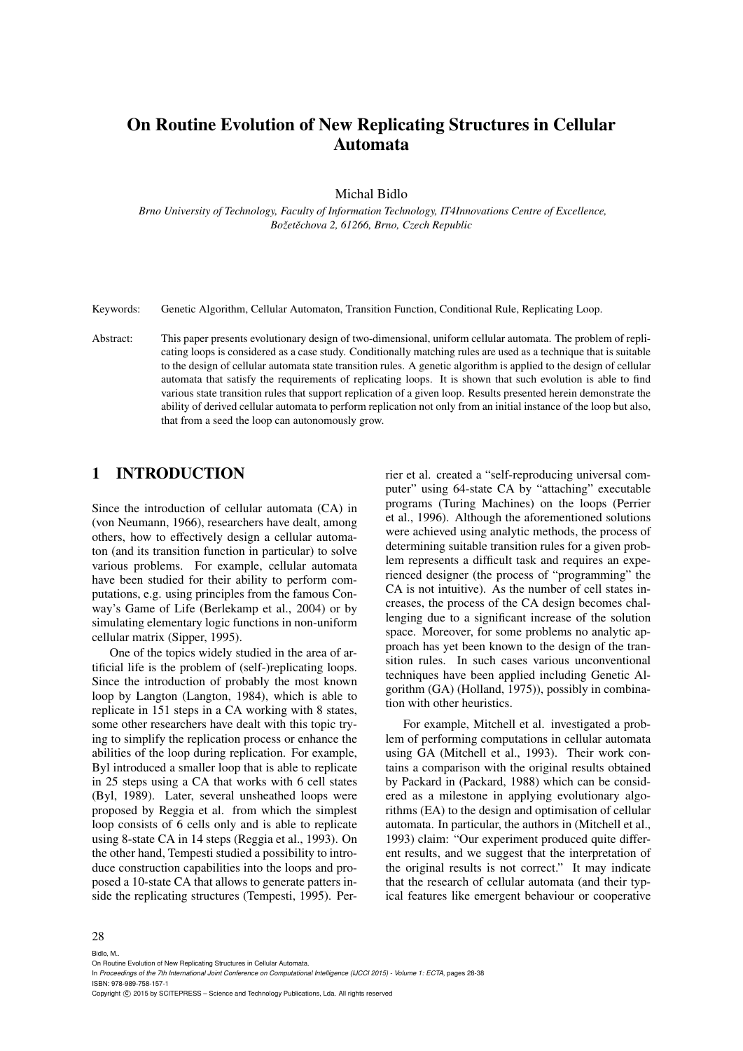# On Routine Evolution of New Replicating Structures in Cellular Automata

Michal Bidlo

*Brno University of Technology, Faculty of Information Technology, IT4Innovations Centre of Excellence, Bozet ˇ echova 2, 61266, Brno, Czech Republic ˇ*

Keywords: Genetic Algorithm, Cellular Automaton, Transition Function, Conditional Rule, Replicating Loop.

Abstract: This paper presents evolutionary design of two-dimensional, uniform cellular automata. The problem of replicating loops is considered as a case study. Conditionally matching rules are used as a technique that is suitable to the design of cellular automata state transition rules. A genetic algorithm is applied to the design of cellular automata that satisfy the requirements of replicating loops. It is shown that such evolution is able to find various state transition rules that support replication of a given loop. Results presented herein demonstrate the ability of derived cellular automata to perform replication not only from an initial instance of the loop but also, that from a seed the loop can autonomously grow.

### 1 INTRODUCTION

Since the introduction of cellular automata (CA) in (von Neumann, 1966), researchers have dealt, among others, how to effectively design a cellular automaton (and its transition function in particular) to solve various problems. For example, cellular automata have been studied for their ability to perform computations, e.g. using principles from the famous Conway's Game of Life (Berlekamp et al., 2004) or by simulating elementary logic functions in non-uniform cellular matrix (Sipper, 1995).

One of the topics widely studied in the area of artificial life is the problem of (self-)replicating loops. Since the introduction of probably the most known loop by Langton (Langton, 1984), which is able to replicate in 151 steps in a CA working with 8 states, some other researchers have dealt with this topic trying to simplify the replication process or enhance the abilities of the loop during replication. For example, Byl introduced a smaller loop that is able to replicate in 25 steps using a CA that works with 6 cell states (Byl, 1989). Later, several unsheathed loops were proposed by Reggia et al. from which the simplest loop consists of 6 cells only and is able to replicate using 8-state CA in 14 steps (Reggia et al., 1993). On the other hand, Tempesti studied a possibility to introduce construction capabilities into the loops and proposed a 10-state CA that allows to generate patters inside the replicating structures (Tempesti, 1995). Perrier et al. created a "self-reproducing universal computer" using 64-state CA by "attaching" executable programs (Turing Machines) on the loops (Perrier et al., 1996). Although the aforementioned solutions were achieved using analytic methods, the process of determining suitable transition rules for a given problem represents a difficult task and requires an experienced designer (the process of "programming" the CA is not intuitive). As the number of cell states increases, the process of the CA design becomes challenging due to a significant increase of the solution space. Moreover, for some problems no analytic approach has yet been known to the design of the transition rules. In such cases various unconventional techniques have been applied including Genetic Algorithm (GA) (Holland, 1975)), possibly in combination with other heuristics.

For example, Mitchell et al. investigated a problem of performing computations in cellular automata using GA (Mitchell et al., 1993). Their work contains a comparison with the original results obtained by Packard in (Packard, 1988) which can be considered as a milestone in applying evolutionary algorithms (EA) to the design and optimisation of cellular automata. In particular, the authors in (Mitchell et al., 1993) claim: "Our experiment produced quite different results, and we suggest that the interpretation of the original results is not correct." It may indicate that the research of cellular automata (and their typical features like emergent behaviour or cooperative

#### 28

Bidlo, M..

In *Proceedings of the 7th International Joint Conference on Computational Intelligence (IJCCI 2015) - Volume 1: ECTA*, pages 28-38 ISBN: 978-989-758-157-1

Copyright C 2015 by SCITEPRESS - Science and Technology Publications, Lda. All rights reserved

On Routine Evolution of New Replicating Structures in Cellular Automata.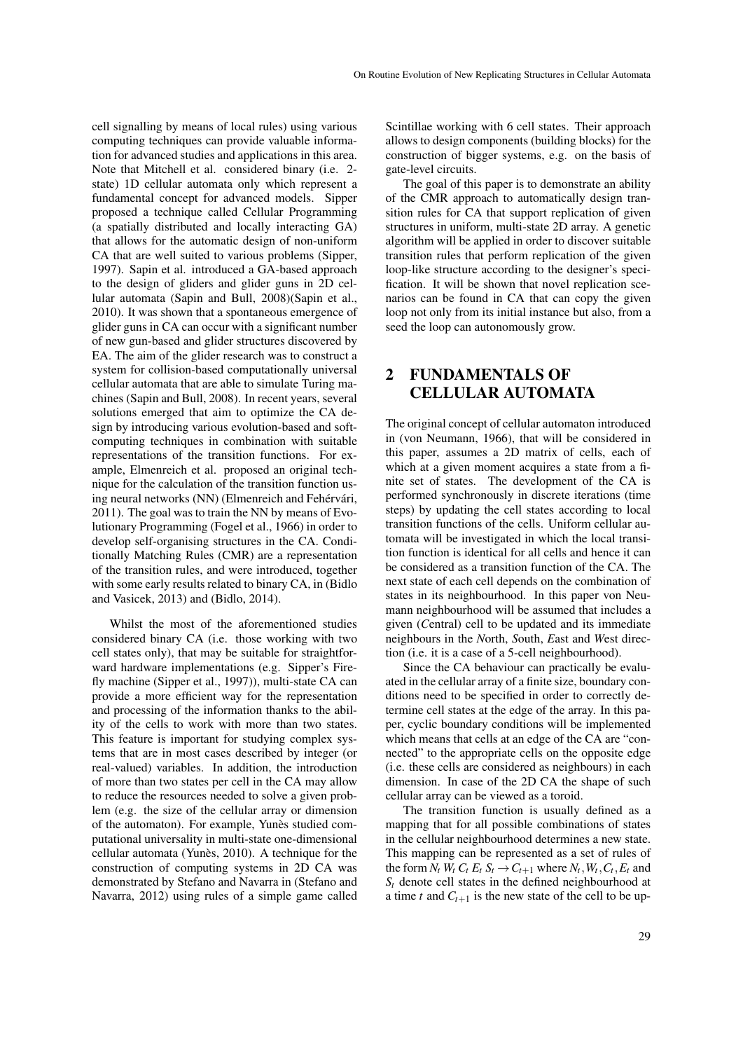cell signalling by means of local rules) using various computing techniques can provide valuable information for advanced studies and applications in this area. Note that Mitchell et al. considered binary (i.e. 2 state) 1D cellular automata only which represent a fundamental concept for advanced models. Sipper proposed a technique called Cellular Programming (a spatially distributed and locally interacting GA) that allows for the automatic design of non-uniform CA that are well suited to various problems (Sipper, 1997). Sapin et al. introduced a GA-based approach to the design of gliders and glider guns in 2D cellular automata (Sapin and Bull, 2008)(Sapin et al., 2010). It was shown that a spontaneous emergence of glider guns in CA can occur with a significant number of new gun-based and glider structures discovered by EA. The aim of the glider research was to construct a system for collision-based computationally universal cellular automata that are able to simulate Turing machines (Sapin and Bull, 2008). In recent years, several solutions emerged that aim to optimize the CA design by introducing various evolution-based and softcomputing techniques in combination with suitable representations of the transition functions. For example, Elmenreich et al. proposed an original technique for the calculation of the transition function using neural networks (NN) (Elmenreich and Fehérvári, 2011). The goal was to train the NN by means of Evolutionary Programming (Fogel et al., 1966) in order to develop self-organising structures in the CA. Conditionally Matching Rules (CMR) are a representation of the transition rules, and were introduced, together with some early results related to binary CA, in (Bidlo and Vasicek, 2013) and (Bidlo, 2014).

Whilst the most of the aforementioned studies considered binary CA (i.e. those working with two cell states only), that may be suitable for straightforward hardware implementations (e.g. Sipper's Firefly machine (Sipper et al., 1997)), multi-state CA can provide a more efficient way for the representation and processing of the information thanks to the ability of the cells to work with more than two states. This feature is important for studying complex systems that are in most cases described by integer (or real-valued) variables. In addition, the introduction of more than two states per cell in the CA may allow to reduce the resources needed to solve a given problem (e.g. the size of the cellular array or dimension of the automaton). For example, Yunès studied computational universality in multi-state one-dimensional cellular automata (Yunès, 2010). A technique for the construction of computing systems in 2D CA was demonstrated by Stefano and Navarra in (Stefano and Navarra, 2012) using rules of a simple game called

Scintillae working with 6 cell states. Their approach allows to design components (building blocks) for the construction of bigger systems, e.g. on the basis of gate-level circuits.

The goal of this paper is to demonstrate an ability of the CMR approach to automatically design transition rules for CA that support replication of given structures in uniform, multi-state 2D array. A genetic algorithm will be applied in order to discover suitable transition rules that perform replication of the given loop-like structure according to the designer's specification. It will be shown that novel replication scenarios can be found in CA that can copy the given loop not only from its initial instance but also, from a seed the loop can autonomously grow.

## 2 FUNDAMENTALS OF CELLULAR AUTOMATA

The original concept of cellular automaton introduced in (von Neumann, 1966), that will be considered in this paper, assumes a 2D matrix of cells, each of which at a given moment acquires a state from a finite set of states. The development of the CA is performed synchronously in discrete iterations (time steps) by updating the cell states according to local transition functions of the cells. Uniform cellular automata will be investigated in which the local transition function is identical for all cells and hence it can be considered as a transition function of the CA. The next state of each cell depends on the combination of states in its neighbourhood. In this paper von Neumann neighbourhood will be assumed that includes a given (*C*entral) cell to be updated and its immediate neighbours in the *N*orth, *S*outh, *E*ast and *W*est direction (i.e. it is a case of a 5-cell neighbourhood).

Since the CA behaviour can practically be evaluated in the cellular array of a finite size, boundary conditions need to be specified in order to correctly determine cell states at the edge of the array. In this paper, cyclic boundary conditions will be implemented which means that cells at an edge of the CA are "connected" to the appropriate cells on the opposite edge (i.e. these cells are considered as neighbours) in each dimension. In case of the 2D CA the shape of such cellular array can be viewed as a toroid.

The transition function is usually defined as a mapping that for all possible combinations of states in the cellular neighbourhood determines a new state. This mapping can be represented as a set of rules of the form  $N_t$   $W_t$   $C_t$   $E_t$   $S_t$   $\rightarrow$   $C_{t+1}$  where  $N_t$ ,  $W_t$ ,  $C_t$ ,  $E_t$  and  $S_t$  denote cell states in the defined neighbourhood at a time *t* and  $C_{t+1}$  is the new state of the cell to be up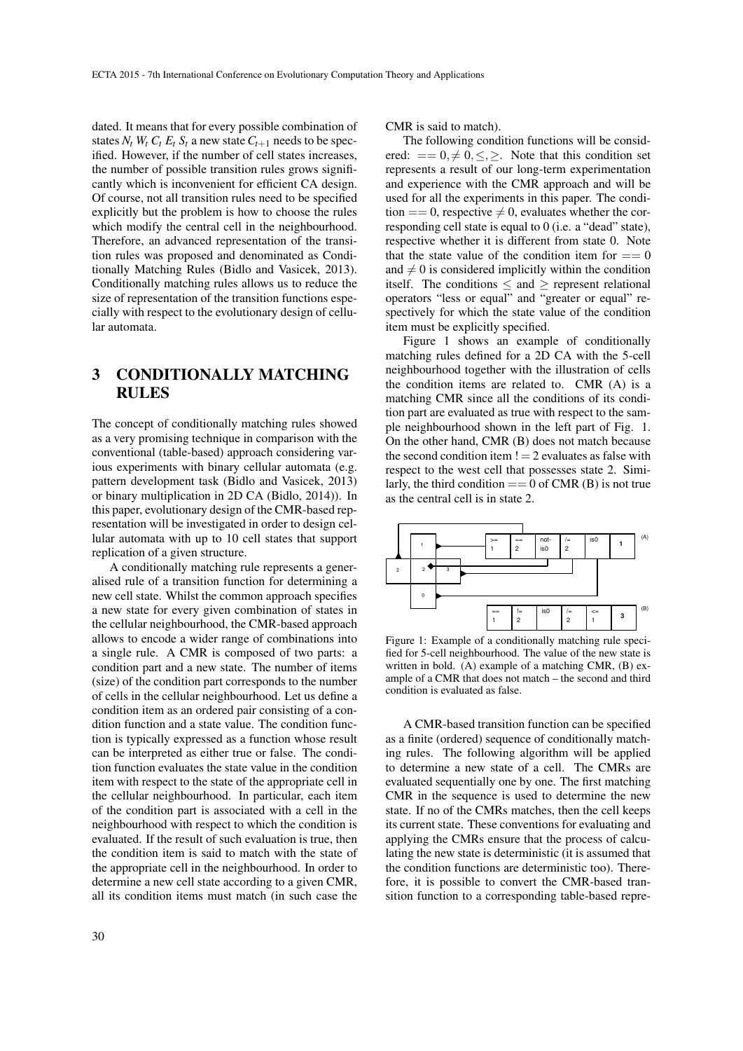dated. It means that for every possible combination of states  $N_t$   $W_t$   $C_t$   $E_t$   $S_t$  a new state  $C_{t+1}$  needs to be specified. However, if the number of cell states increases, the number of possible transition rules grows significantly which is inconvenient for efficient CA design. Of course, not all transition rules need to be specified explicitly but the problem is how to choose the rules which modify the central cell in the neighbourhood. Therefore, an advanced representation of the transition rules was proposed and denominated as Conditionally Matching Rules (Bidlo and Vasicek, 2013). Conditionally matching rules allows us to reduce the size of representation of the transition functions especially with respect to the evolutionary design of cellular automata.

## 3 CONDITIONALLY MATCHING RULES

The concept of conditionally matching rules showed as a very promising technique in comparison with the conventional (table-based) approach considering various experiments with binary cellular automata (e.g. pattern development task (Bidlo and Vasicek, 2013) or binary multiplication in 2D CA (Bidlo, 2014)). In this paper, evolutionary design of the CMR-based representation will be investigated in order to design cellular automata with up to 10 cell states that support replication of a given structure.

A conditionally matching rule represents a generalised rule of a transition function for determining a new cell state. Whilst the common approach specifies a new state for every given combination of states in the cellular neighbourhood, the CMR-based approach allows to encode a wider range of combinations into a single rule. A CMR is composed of two parts: a condition part and a new state. The number of items (size) of the condition part corresponds to the number of cells in the cellular neighbourhood. Let us define a condition item as an ordered pair consisting of a condition function and a state value. The condition function is typically expressed as a function whose result can be interpreted as either true or false. The condition function evaluates the state value in the condition item with respect to the state of the appropriate cell in the cellular neighbourhood. In particular, each item of the condition part is associated with a cell in the neighbourhood with respect to which the condition is evaluated. If the result of such evaluation is true, then the condition item is said to match with the state of the appropriate cell in the neighbourhood. In order to determine a new cell state according to a given CMR, all its condition items must match (in such case the

CMR is said to match).

The following condition functions will be considered: ==  $0, \neq 0, \leq, \geq$ . Note that this condition set represents a result of our long-term experimentation and experience with the CMR approach and will be used for all the experiments in this paper. The condition  $== 0$ , respective  $\neq 0$ , evaluates whether the corresponding cell state is equal to 0 (i.e. a "dead" state), respective whether it is different from state 0. Note that the state value of the condition item for  $== 0$ and  $\neq 0$  is considered implicitly within the condition itself. The conditions  $\leq$  and  $\geq$  represent relational operators "less or equal" and "greater or equal" respectively for which the state value of the condition item must be explicitly specified.

Figure 1 shows an example of conditionally matching rules defined for a 2D CA with the 5-cell neighbourhood together with the illustration of cells the condition items are related to. CMR (A) is a matching CMR since all the conditions of its condition part are evaluated as true with respect to the sample neighbourhood shown in the left part of Fig. 1. On the other hand, CMR (B) does not match because the second condition item  $!=$  2 evaluates as false with respect to the west cell that possesses state 2. Similarly, the third condition  $== 0$  of CMR (B) is not true as the central cell is in state 2.



Figure 1: Example of a conditionally matching rule specified for 5-cell neighbourhood. The value of the new state is written in bold. (A) example of a matching CMR, (B) example of a CMR that does not match – the second and third condition is evaluated as false.

A CMR-based transition function can be specified as a finite (ordered) sequence of conditionally matching rules. The following algorithm will be applied to determine a new state of a cell. The CMRs are evaluated sequentially one by one. The first matching CMR in the sequence is used to determine the new state. If no of the CMRs matches, then the cell keeps its current state. These conventions for evaluating and applying the CMRs ensure that the process of calculating the new state is deterministic (it is assumed that the condition functions are deterministic too). Therefore, it is possible to convert the CMR-based transition function to a corresponding table-based repre-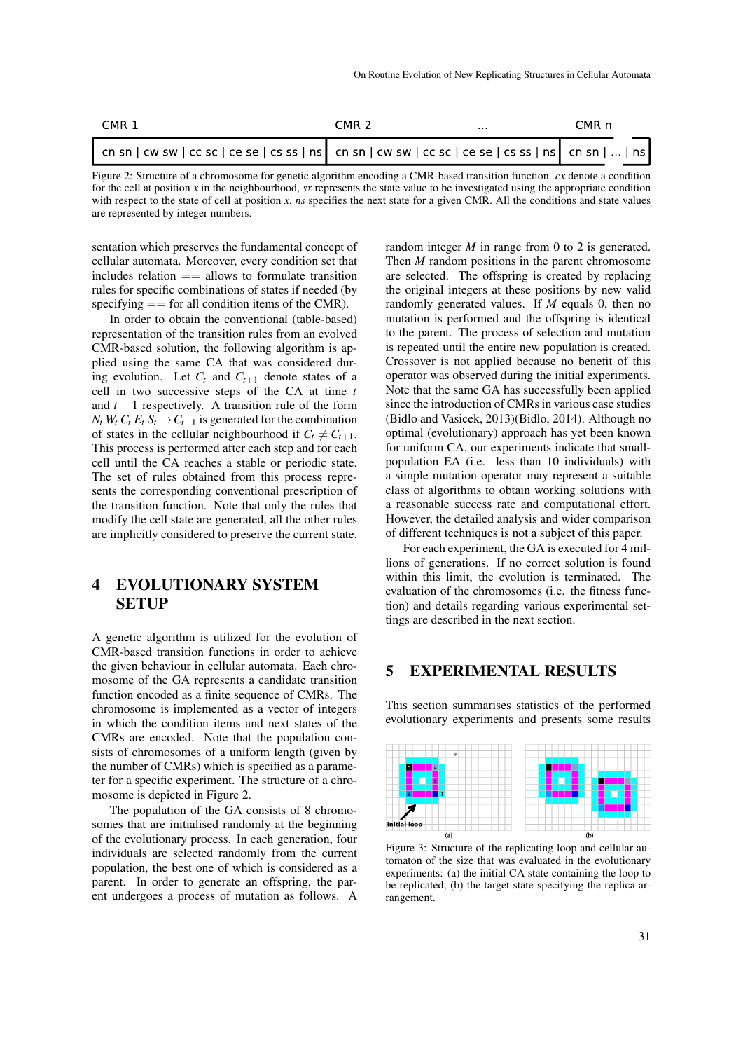| CMR 1                                                                                                                                                                                                                                                                                                                                                                                                                                                                                          | CMR 2 | . | CMR n |
|------------------------------------------------------------------------------------------------------------------------------------------------------------------------------------------------------------------------------------------------------------------------------------------------------------------------------------------------------------------------------------------------------------------------------------------------------------------------------------------------|-------|---|-------|
| $\boxed{\phantom{a} \text{cn} \text{ sn} \mid \text{cw} \text{ sw} \mid \text{cc} \text{ sc} \mid \text{ce} \text{ se} \mid \text{cs} \text{ ss} \mid \text{ns} \mid \text{cn} \text{ sn} \mid \text{cw} \text{ sw} \mid \text{cc} \text{ sc} \mid \text{ce} \text{ se} \mid \text{cs} \text{ ss} \mid \text{ns} \mid \text{cn} \text{ sn} \mid  \mid \text{ns} \mid \text{cn} \text{ sw} \mid \text{cc} \text{ se} \mid \text{cw} \mid \text{sn} \mid \text{nc} \mid \text{nc} \mid \text{nc$ |       |   |       |

Figure 2: Structure of a chromosome for genetic algorithm encoding a CMR-based transition function. *cx* denote a condition for the cell at position  $x$  in the neighbourhood,  $sx$  represents the state value to be investigated using the appropriate condition with respect to the state of cell at position *x*, *ns* specifies the next state for a given CMR. All the conditions and state values are represented by integer numbers.

sentation which preserves the fundamental concept of cellular automata. Moreover, every condition set that includes relation  $==$  allows to formulate transition rules for specific combinations of states if needed (by specifying  $==$  for all condition items of the CMR).

In order to obtain the conventional (table-based) representation of the transition rules from an evolved CMR-based solution, the following algorithm is applied using the same CA that was considered during evolution. Let  $C_t$  and  $C_{t+1}$  denote states of a cell in two successive steps of the CA at time *t* and  $t + 1$  respectively. A transition rule of the form  $N_t$   $W_t$   $C_t$   $E_t$   $S_t$   $\rightarrow$   $C_{t+1}$  is generated for the combination of states in the cellular neighbourhood if  $C_t \neq C_{t+1}$ . This process is performed after each step and for each cell until the CA reaches a stable or periodic state. The set of rules obtained from this process represents the corresponding conventional prescription of the transition function. Note that only the rules that modify the cell state are generated, all the other rules are implicitly considered to preserve the current state.

## 4 EVOLUTIONARY SYSTEM **SETUP**

A genetic algorithm is utilized for the evolution of CMR-based transition functions in order to achieve the given behaviour in cellular automata. Each chromosome of the GA represents a candidate transition function encoded as a finite sequence of CMRs. The chromosome is implemented as a vector of integers in which the condition items and next states of the CMRs are encoded. Note that the population consists of chromosomes of a uniform length (given by the number of CMRs) which is specified as a parameter for a specific experiment. The structure of a chromosome is depicted in Figure 2.

The population of the GA consists of 8 chromosomes that are initialised randomly at the beginning of the evolutionary process. In each generation, four individuals are selected randomly from the current population, the best one of which is considered as a parent. In order to generate an offspring, the parent undergoes a process of mutation as follows. A random integer *M* in range from 0 to 2 is generated. Then *M* random positions in the parent chromosome are selected. The offspring is created by replacing the original integers at these positions by new valid randomly generated values. If *M* equals 0, then no mutation is performed and the offspring is identical to the parent. The process of selection and mutation is repeated until the entire new population is created. Crossover is not applied because no benefit of this operator was observed during the initial experiments. Note that the same GA has successfully been applied since the introduction of CMRs in various case studies (Bidlo and Vasicek, 2013)(Bidlo, 2014). Although no optimal (evolutionary) approach has yet been known for uniform CA, our experiments indicate that smallpopulation EA (i.e. less than 10 individuals) with a simple mutation operator may represent a suitable class of algorithms to obtain working solutions with a reasonable success rate and computational effort. However, the detailed analysis and wider comparison of different techniques is not a subject of this paper.

For each experiment, the GA is executed for 4 millions of generations. If no correct solution is found within this limit, the evolution is terminated. The evaluation of the chromosomes (i.e. the fitness function) and details regarding various experimental settings are described in the next section.

#### 5 EXPERIMENTAL RESULTS

This section summarises statistics of the performed evolutionary experiments and presents some results



Figure 3: Structure of the replicating loop and cellular automaton of the size that was evaluated in the evolutionary experiments: (a) the initial CA state containing the loop to be replicated, (b) the target state specifying the replica arrangement.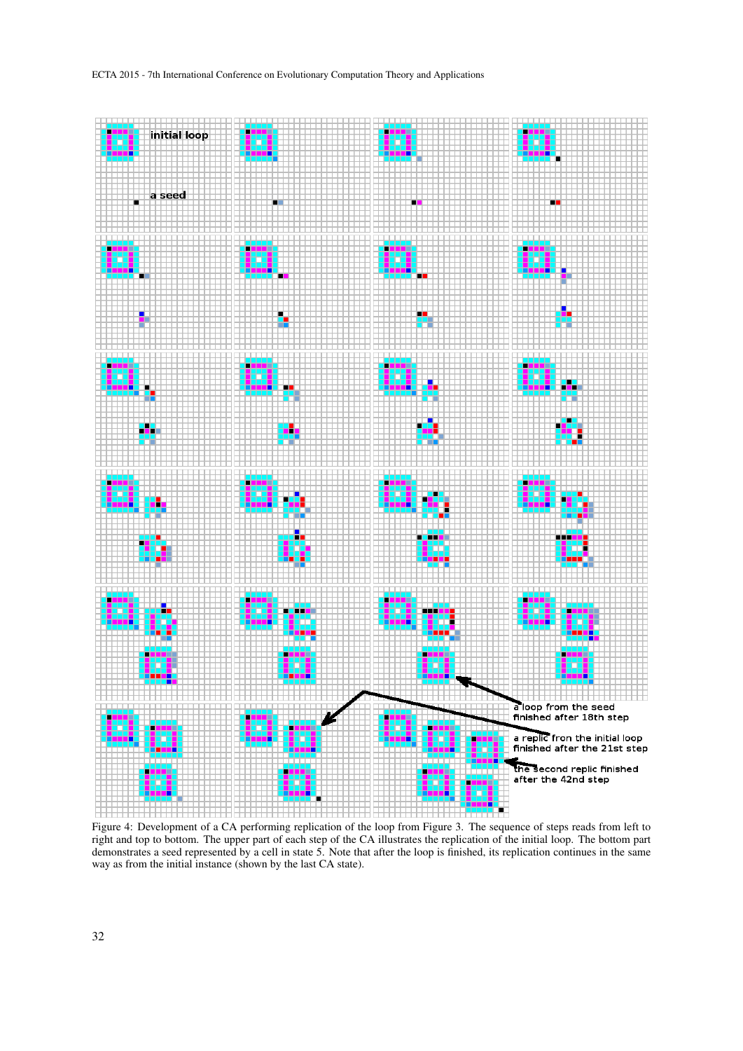

Figure 4: Development of a CA performing replication of the loop from Figure 3. The sequence of steps reads from left to right and top to bottom. The upper part of each step of the CA illustrates the replication of the initial loop. The bottom part demonstrates a seed represented by a cell in state 5. Note that after the loop is finished, its replication continues in the same way as from the initial instance (shown by the last CA state).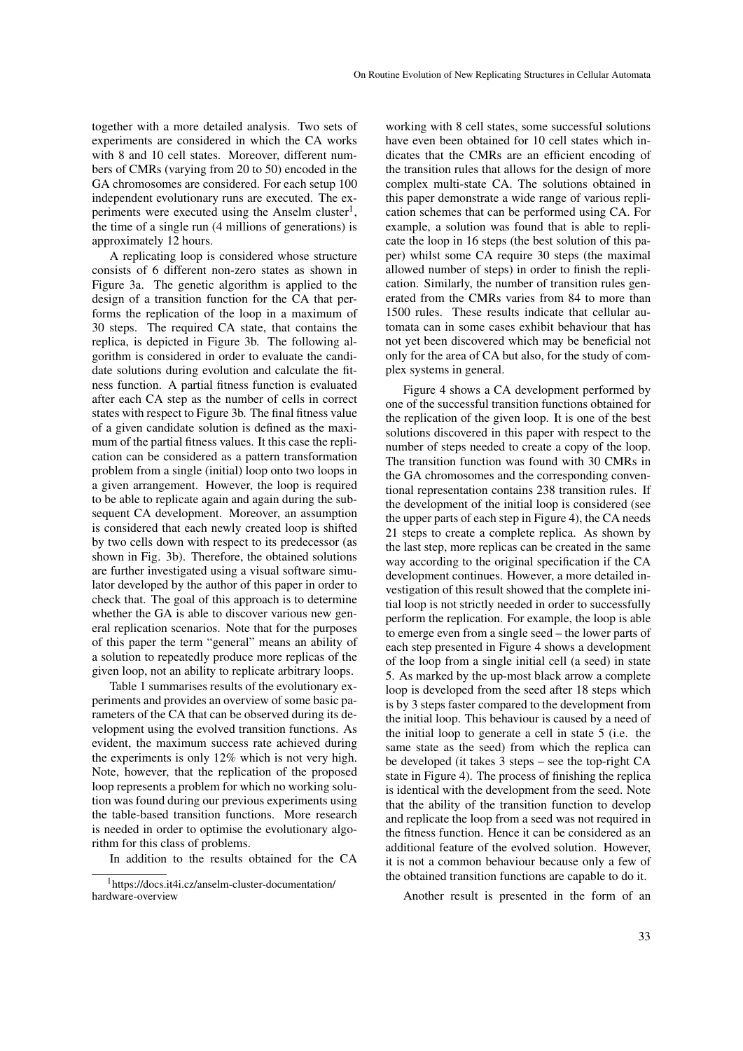together with a more detailed analysis. Two sets of experiments are considered in which the CA works with 8 and 10 cell states. Moreover, different numbers of CMRs (varying from 20 to 50) encoded in the GA chromosomes are considered. For each setup 100 independent evolutionary runs are executed. The experiments were executed using the Anselm cluster<sup>1</sup>, the time of a single run (4 millions of generations) is approximately 12 hours.

A replicating loop is considered whose structure consists of 6 different non-zero states as shown in Figure 3a. The genetic algorithm is applied to the design of a transition function for the CA that performs the replication of the loop in a maximum of 30 steps. The required CA state, that contains the replica, is depicted in Figure 3b. The following algorithm is considered in order to evaluate the candidate solutions during evolution and calculate the fitness function. A partial fitness function is evaluated after each CA step as the number of cells in correct states with respect to Figure 3b. The final fitness value of a given candidate solution is defined as the maximum of the partial fitness values. It this case the replication can be considered as a pattern transformation problem from a single (initial) loop onto two loops in a given arrangement. However, the loop is required to be able to replicate again and again during the subsequent CA development. Moreover, an assumption is considered that each newly created loop is shifted by two cells down with respect to its predecessor (as shown in Fig. 3b). Therefore, the obtained solutions are further investigated using a visual software simulator developed by the author of this paper in order to check that. The goal of this approach is to determine whether the GA is able to discover various new general replication scenarios. Note that for the purposes of this paper the term "general" means an ability of a solution to repeatedly produce more replicas of the given loop, not an ability to replicate arbitrary loops.

Table 1 summarises results of the evolutionary experiments and provides an overview of some basic parameters of the CA that can be observed during its development using the evolved transition functions. As evident, the maximum success rate achieved during the experiments is only 12% which is not very high. Note, however, that the replication of the proposed loop represents a problem for which no working solution was found during our previous experiments using the table-based transition functions. More research is needed in order to optimise the evolutionary algorithm for this class of problems.

In addition to the results obtained for the CA

working with 8 cell states, some successful solutions have even been obtained for 10 cell states which indicates that the CMRs are an efficient encoding of the transition rules that allows for the design of more complex multi-state CA. The solutions obtained in this paper demonstrate a wide range of various replication schemes that can be performed using CA. For example, a solution was found that is able to replicate the loop in 16 steps (the best solution of this paper) whilst some CA require 30 steps (the maximal allowed number of steps) in order to finish the replication. Similarly, the number of transition rules generated from the CMRs varies from 84 to more than 1500 rules. These results indicate that cellular automata can in some cases exhibit behaviour that has not yet been discovered which may be beneficial not only for the area of CA but also, for the study of complex systems in general.

Figure 4 shows a CA development performed by one of the successful transition functions obtained for the replication of the given loop. It is one of the best solutions discovered in this paper with respect to the number of steps needed to create a copy of the loop. The transition function was found with 30 CMRs in the GA chromosomes and the corresponding conventional representation contains 238 transition rules. If the development of the initial loop is considered (see the upper parts of each step in Figure 4), the CA needs 21 steps to create a complete replica. As shown by the last step, more replicas can be created in the same way according to the original specification if the CA development continues. However, a more detailed investigation of this result showed that the complete initial loop is not strictly needed in order to successfully perform the replication. For example, the loop is able to emerge even from a single seed – the lower parts of each step presented in Figure 4 shows a development of the loop from a single initial cell (a seed) in state 5. As marked by the up-most black arrow a complete loop is developed from the seed after 18 steps which is by 3 steps faster compared to the development from the initial loop. This behaviour is caused by a need of the initial loop to generate a cell in state 5 (i.e. the same state as the seed) from which the replica can be developed (it takes 3 steps – see the top-right CA state in Figure 4). The process of finishing the replica is identical with the development from the seed. Note that the ability of the transition function to develop and replicate the loop from a seed was not required in the fitness function. Hence it can be considered as an additional feature of the evolved solution. However, it is not a common behaviour because only a few of the obtained transition functions are capable to do it.

Another result is presented in the form of an

<sup>1</sup>https://docs.it4i.cz/anselm-cluster-documentation/ hardware-overview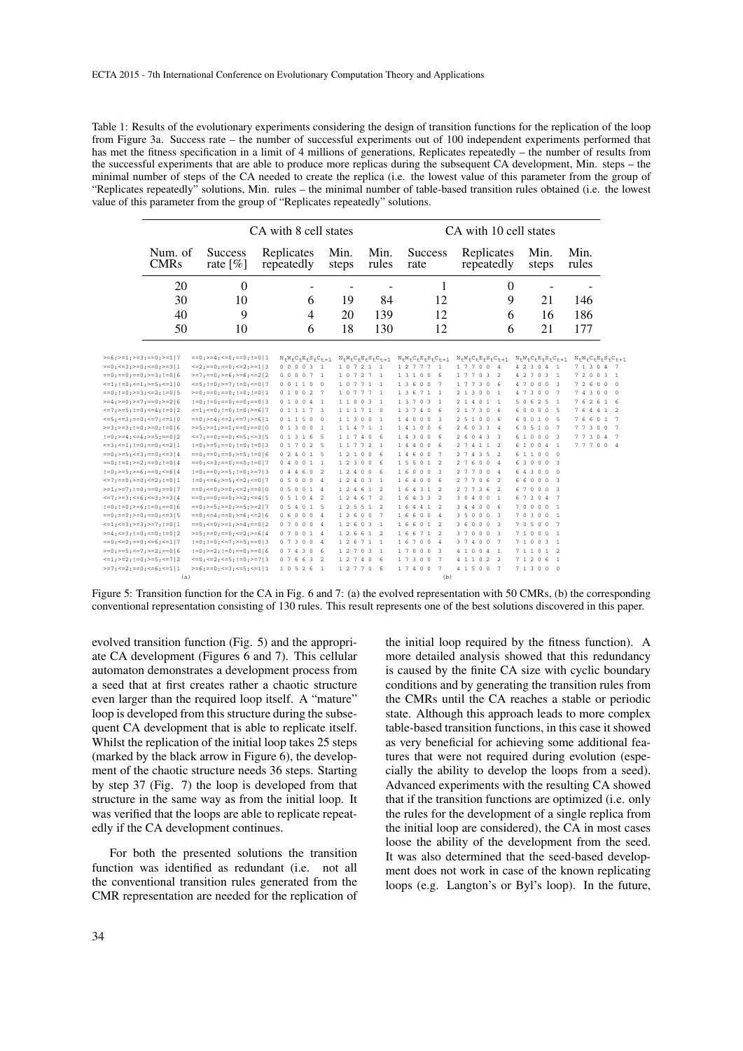Table 1: Results of the evolutionary experiments considering the design of transition functions for the replication of the loop from Figure 3a. Success rate – the number of successful experiments out of 100 independent experiments performed that has met the fitness specification in a limit of 4 millions of generations, Replicates repeatedly – the number of results from the successful experiments that are able to produce more replicas during the subsequent CA development, Min. steps – the minimal number of steps of the CA needed to create the replica (i.e. the lowest value of this parameter from the group of "Replicates repeatedly" solutions, Min. rules – the minimal number of table-based transition rules obtained (i.e. the lowest value of this parameter from the group of "Replicates repeatedly" solutions.

|                                                     | CA with 8 cell states  |                                                                          |                                                   |               |                                              | CA with 10 cell states                            |                                                               |                                                     |                                      |
|-----------------------------------------------------|------------------------|--------------------------------------------------------------------------|---------------------------------------------------|---------------|----------------------------------------------|---------------------------------------------------|---------------------------------------------------------------|-----------------------------------------------------|--------------------------------------|
|                                                     | Num. of<br><b>CMRs</b> | <b>Success</b><br>rate [%]                                               | Replicates<br>repeatedly                          | Min.<br>steps | Min.<br>rules                                | <b>Success</b><br>rate                            | Replicates<br>repeatedly                                      | Min.<br>steps                                       | Min.<br>rules                        |
|                                                     | 20                     | $\theta$                                                                 |                                                   |               |                                              | 1                                                 | $\overline{0}$                                                |                                                     |                                      |
|                                                     | 30                     | 10                                                                       | 6                                                 | 19            | 84                                           | 12                                                | 9                                                             | 21                                                  | 146                                  |
|                                                     |                        |                                                                          |                                                   |               |                                              |                                                   |                                                               |                                                     |                                      |
|                                                     | 40                     | 9                                                                        | 4                                                 | 20            | 139                                          | 12                                                | 6                                                             | 16                                                  | 186                                  |
|                                                     | 50                     | 10                                                                       | 6                                                 | 18            | 130                                          | 12                                                | 6                                                             | 21                                                  | 177                                  |
|                                                     |                        |                                                                          |                                                   |               |                                              |                                                   |                                                               |                                                     |                                      |
| $>=6;>=1;>=3;==0;>=1 7$<br>$>=0;<=3;>=0;<=0;>=3 1$  |                        | $==0;>=4;<=0;==0;!=0 1$                                                  | $N_{+}V_{+}C_{+}E_{+}S_{+}C_{++1}$<br>0 0 0 0 3 1 |               | $N_{+}N_{+}C_{+}E_{+}S_{+}C_{++1}$<br>107211 | $N_{+}V_{+}C_{+}E_{+}S_{+}C_{++1}$<br>1 2 7 7 7 1 | $N_{+}V_{+}C_{+}E_{+}S_{+}C_{++1}$<br>17700<br>$\overline{4}$ | $N_{+}V_{+}C_{+}E_{+}S_{+}C_{++1}$<br>4 2 3 0 4 1   | $N_fW_CE_FE_SC_{f+1}$<br>7 1 3 0 4 7 |
| $==0; ==0; ==0; >=3; !=0   6$                       |                        | $\leq$ =2; ==0; ==0; $\leq$ =2; >=1   3<br>$>=7; ==0; >=6; >=6; <=2   2$ | 0 0 0 0 7 1                                       |               | 107271                                       | 1 3 1 0 0<br>- 6                                  | 177032                                                        | 4 2 7 0 3 1                                         | 7 2 0 0 3 1                          |
| $\leq$ =1; !=0; $\leq$ =1; $>$ =5; $\leq$ =1 0      |                        | $\leq$ =5; !=0; $\geq$ =7; !=0; $\leq$ =0 7                              | 0 0 1 1 0<br>$\overline{0}$                       |               | 107711                                       | 1 3 6 0 0<br>- 7                                  | 17730<br>- 6                                                  | 47000<br>$\overline{\phantom{a}}$                   | 7 2 6 0 0<br>$\overline{0}$          |
| $==0; !=0; >=3; <=2; !=0   5$                       |                        | $>=0; ==0; ==0; !=0; !=0   1$                                            | 0 1 0 0 2 7                                       |               | 107771                                       | 136<br>7 1 1                                      | 2 1 3 0<br>0 <sub>1</sub>                                     | 4 7 3<br>0 <sub>0</sub><br>7                        | 7 4 3 0 0 0                          |
| $>=4;>=0;>=7;==0;>=2 6$                             |                        | $1=0; 1=0; ==0; ==0; ==0; 3$                                             | 0 1 0 0 4<br>$\overline{1}$                       |               | 1 1 0 0 3 1                                  | 1 3 7 0 3<br>$\overline{1}$                       | 2 1 4 0 1 1                                                   | 5 0 6 2 5 1                                         | 7 6 2 6 1 6                          |
| $\leq$ =7; $>$ =5; !=0; $\leq$ =4; !=0   2          |                        | $\leq$ =1; $\leq$ =0; !=0; !=0; >=6   7                                  | 0 1 1 1 7 3                                       |               | 1 1 1 7 1 0                                  | 1 3 7 4 0 6                                       | 2 1 7 3 0 6                                                   | 6 0 0 0 0 5                                         | 7 6 4 4 1 2                          |
| $\leq$ =5; $\leq$ =3; ==0; $\leq$ =7; $\leq$ =1 0   |                        | $==0;>=4;<=2;<=7;>=6 1$                                                  | 0 1 1 5 0 0                                       |               | 1 1 3 0 0 1                                  | 140003                                            | 2 5 1 0 0 6                                                   | 6 0 0 1 0 5                                         | 766017                               |
| $>=3;>=3;!=0;>=0;!=0$                               |                        | $>=5;>=1;>=1;==0;==0 0$                                                  | 0 1 3 0 0 1                                       |               | 1 1 4 7 1 1                                  | 14100<br>- 6                                      | 2 6 0 3 3 4                                                   | 6 0 5 1 0<br>7                                      | 77300<br>7                           |
| $1=0; -4; -4; -4; -5; = 0$   2                      |                        | $\leftarrow$ =7; ==0; ==0; $\leftarrow$ =5; $\leftarrow$ =3   5          | 0 1 3 1 6<br>$-5$                                 | 1 1 7 4 0     | 6                                            | 1 4 3 0 0<br>- 6                                  | 2 6 0 4 3 3                                                   | 6 1 0 0 0 3                                         | 77304<br>7                           |
| $\leq$ =3; $\leq$ =1; $\leq$ =0; $\leq$ =2 1        |                        | $1=0;$ $>=5;$ $==0;$ $1=0;$ $1=0$   3                                    | 0 1 7 0 2 5                                       |               | 1 1 7 7 2 1                                  | 14400<br>- 6                                      | 2 7 4 1 1 2                                                   | $0 \t 4 \t 1$<br>6 1<br>$^{\circ}$                  | 77700 4                              |
| $==0;>=5;<=3;==0;<=3 4$                             |                        | $==0; ==0; ==0; >=5; !=0   6$                                            | 0 2 4 0 1 5                                       | 1 2 1 0 0     | - 6                                          | 14600<br>7                                        | 2 7 4 3 5<br>$\overline{2}$                                   | 6 1 1 0 0 0                                         |                                      |
| $==0; !=0; >=2; ==0; !=0   4$                       |                        | $==0;<=3;==0;==0;!=0 7$                                                  | 040011                                            |               | 1 2 3 0 0 6                                  | 1 5 5 0 1 2                                       | 2 7 6 0 0 4                                                   | 6 3 0 0 0 3                                         |                                      |
| $1=0; -5; -5; -6; -5; -6; -6; 4$                    |                        | $1=0; ==0; >=5; 1=0; >=7   3$                                            | 044602                                            | 1 2 4 0 0     | - 6                                          |                                                   | 27700 4                                                       | 6 4 3 0 0 0                                         |                                      |
| $\leq$ =7; ==0; $>$ =0; $\leq$ =2; !=0 1            |                        | $!=0;<=6;>=5;<=2;<=0 7$                                                  | 05000<br>$\overline{4}$                           | 1 2 4 0 3     | $\mathbf{1}$                                 | 1 6 0 0 0 3<br>1 6 4 0 0<br>- 6                   | 6<br>2 7 7 0<br>$\overline{2}$                                | 6 6 0 0 0<br>$\overline{\phantom{a}}$               |                                      |
| $>=1;>=7;!=0;==0;==0 7$                             |                        | $==0;<=0;>=0;<=2;==0 0$                                                  | 0 5 0 0 1 4                                       |               | 1 2 4 6 1 2                                  | 1 6 4<br>3 1 2                                    | 2 7 7 3 6<br>$\overline{2}$                                   | 0 <sub>0</sub><br>6 7 0<br>$\overline{\phantom{a}}$ |                                      |
| $\leq$ =7; $>$ =3; $\leq$ =6; $\leq$ =3; $>$ =3   4 |                        | $==0; ==0; ==0; >=2; <=4   5$                                            | 05104<br>$\overline{2}$                           |               | 1 2 4 6 7 2                                  | 1 6 4 3 3 2                                       | 3 0 4 0<br>0 <sub>1</sub>                                     | 673047                                              |                                      |
|                                                     |                        |                                                                          |                                                   |               |                                              |                                                   | - 6                                                           |                                                     |                                      |
| $1=0; 1=0; \infty = 6; 1=0; == 0 \mid 6$            |                        | $==0;>=5;>=0;>=5;>=2 7$                                                  | 0 5 4 0 1 5                                       |               | 1 2 5 5 1 2                                  | 1 6 4 4 1 2                                       | 3 4 4 0 0                                                     | 7 0 0 0 0 1                                         |                                      |
| $==0; ==0; >=0; ==0; <=3   5$                       |                        | $==0;<=4;==0;>=6;<=2 6$                                                  | 0 6 0 0 0 4                                       |               | 1 2 6 0 0 7                                  | 1 6 6 0 0 4                                       | 3 5 0 0 0 3                                                   | 7 0 3 0 0 1                                         |                                      |
| $\leq$ =1; $\leq$ =3; $>$ =3; $>$ =7; !=0 1         |                        | $==0;<=0;>=1;>=4;==0 2$                                                  | 07000<br>$\frac{4}{3}$                            |               | 1 2 6 0 3 1                                  | 1 6 6 0 1 2                                       | 3 6 0 0 0 3                                                   | 7 0 5 0 0 7                                         |                                      |
| $>=4;<=3;!=0;==0;!=0 2$                             |                        | $>=5; ==0; ==0; ::=2; ==6   4$                                           | 070014                                            |               | 1 2 6 6 1 2                                  | 7 1<br>1 6 6<br>$\overline{2}$                    | 370003                                                        | 7 1 0 0 0 1                                         |                                      |
| $==0;<=0;==0;<=6;<=1 7$                             |                        | $!=0;!=0;<=7;>=5;==0 3$                                                  | 0 7 3 0 0 4                                       |               | 1 2 6 7 1 1                                  | 16700<br>$\overline{4}$                           | 3 7 4 0<br>0 <sub>7</sub>                                     | 7 1 0<br>031                                        |                                      |
| $>=0;>=5;<=7;>=2;==0 6$                             |                        | $1=0;$ >=2; $1=0;$ ==0; ==0   6                                          | 07430<br>- 6                                      |               | 1 2 7 0 3 1                                  | 170<br>0 <sub>0</sub><br>$\overline{\mathbf{3}}$  | 4 1 0 0 4 1                                                   | 7 1 1 0 1 2                                         |                                      |
| $\leq$ =1; $>$ =2; !=0; $>$ =5; $\leq$ =7   2       |                        | $\leq$ = 0; $\leq$ = 2; $\leq$ = 5; $!$ = 0; $>$ = 7   3                 | 076632                                            | 1 2 7 4 0 6   |                                              | 173007                                            | 4 1 1 0 2 2                                                   | 7 1 2 0 6 1                                         |                                      |
| $>=7;<=2;==0;<=6;<=1 1$                             |                        | $>=6; ==0; ::=3; ::=5; <=1   1$                                          | 105261                                            | 1 2 7 7 0 6   |                                              | 174007                                            | 4 1 5 0 0 7                                                   | 7 1 3 0 0 0                                         |                                      |
|                                                     | (a)                    |                                                                          |                                                   |               |                                              | (b)                                               |                                                               |                                                     |                                      |

Figure 5: Transition function for the CA in Fig. 6 and 7: (a) the evolved representation with 50 CMRs, (b) the corresponding conventional representation consisting of 130 rules. This result represents one of the best solutions discovered in this paper.

evolved transition function (Fig. 5) and the appropriate CA development (Figures 6 and 7). This cellular automaton demonstrates a development process from a seed that at first creates rather a chaotic structure even larger than the required loop itself. A "mature" loop is developed from this structure during the subsequent CA development that is able to replicate itself. Whilst the replication of the initial loop takes 25 steps (marked by the black arrow in Figure 6), the development of the chaotic structure needs 36 steps. Starting by step 37 (Fig. 7) the loop is developed from that structure in the same way as from the initial loop. It was verified that the loops are able to replicate repeatedly if the CA development continues.

For both the presented solutions the transition function was identified as redundant (i.e. not all the conventional transition rules generated from the CMR representation are needed for the replication of

the initial loop required by the fitness function). A more detailed analysis showed that this redundancy is caused by the finite CA size with cyclic boundary conditions and by generating the transition rules from the CMRs until the CA reaches a stable or periodic state. Although this approach leads to more complex table-based transition functions, in this case it showed as very beneficial for achieving some additional features that were not required during evolution (especially the ability to develop the loops from a seed). Advanced experiments with the resulting CA showed that if the transition functions are optimized (i.e. only the rules for the development of a single replica from the initial loop are considered), the CA in most cases loose the ability of the development from the seed. It was also determined that the seed-based development does not work in case of the known replicating loops (e.g. Langton's or Byl's loop). In the future,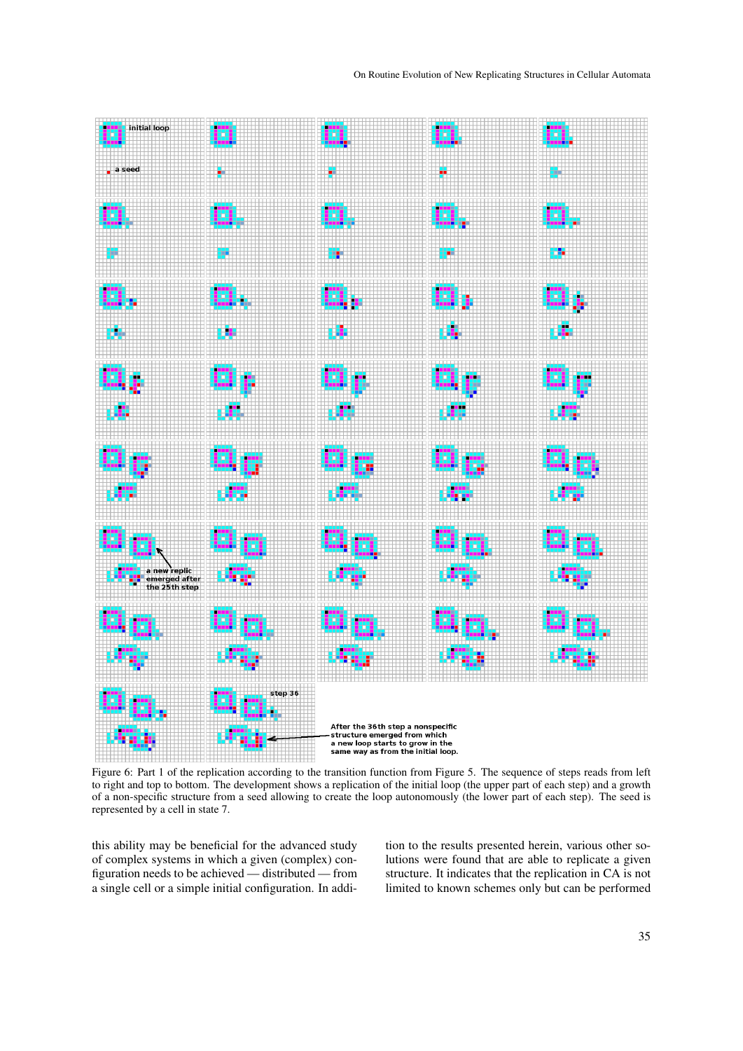

Figure 6: Part 1 of the replication according to the transition function from Figure 5. The sequence of steps reads from left to right and top to bottom. The development shows a replication of the initial loop (the upper part of each step) and a growth of a non-specific structure from a seed allowing to create the loop autonomously (the lower part of each step). The seed is represented by a cell in state 7.

this ability may be beneficial for the advanced study of complex systems in which a given (complex) configuration needs to be achieved — distributed — from a single cell or a simple initial configuration. In addition to the results presented herein, various other solutions were found that are able to replicate a given structure. It indicates that the replication in CA is not limited to known schemes only but can be performed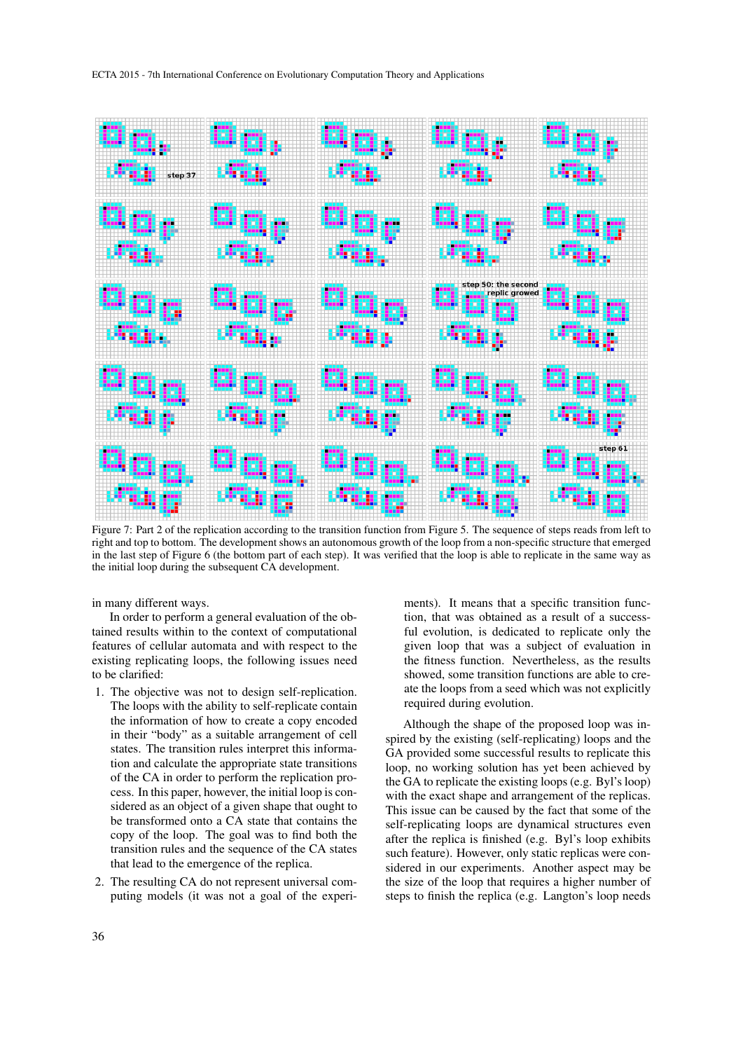

Figure 7: Part 2 of the replication according to the transition function from Figure 5. The sequence of steps reads from left to right and top to bottom. The development shows an autonomous growth of the loop from a non-specific structure that emerged in the last step of Figure 6 (the bottom part of each step). It was verified that the loop is able to replicate in the same way as the initial loop during the subsequent CA development.

in many different ways.

In order to perform a general evaluation of the obtained results within to the context of computational features of cellular automata and with respect to the existing replicating loops, the following issues need to be clarified:

- 1. The objective was not to design self-replication. The loops with the ability to self-replicate contain the information of how to create a copy encoded in their "body" as a suitable arrangement of cell states. The transition rules interpret this information and calculate the appropriate state transitions of the CA in order to perform the replication process. In this paper, however, the initial loop is considered as an object of a given shape that ought to be transformed onto a CA state that contains the copy of the loop. The goal was to find both the transition rules and the sequence of the CA states that lead to the emergence of the replica.
- 2. The resulting CA do not represent universal computing models (it was not a goal of the experi-

ments). It means that a specific transition function, that was obtained as a result of a successful evolution, is dedicated to replicate only the given loop that was a subject of evaluation in the fitness function. Nevertheless, as the results showed, some transition functions are able to create the loops from a seed which was not explicitly required during evolution.

Although the shape of the proposed loop was inspired by the existing (self-replicating) loops and the GA provided some successful results to replicate this loop, no working solution has yet been achieved by the GA to replicate the existing loops (e.g. Byl's loop) with the exact shape and arrangement of the replicas. This issue can be caused by the fact that some of the self-replicating loops are dynamical structures even after the replica is finished (e.g. Byl's loop exhibits such feature). However, only static replicas were considered in our experiments. Another aspect may be the size of the loop that requires a higher number of steps to finish the replica (e.g. Langton's loop needs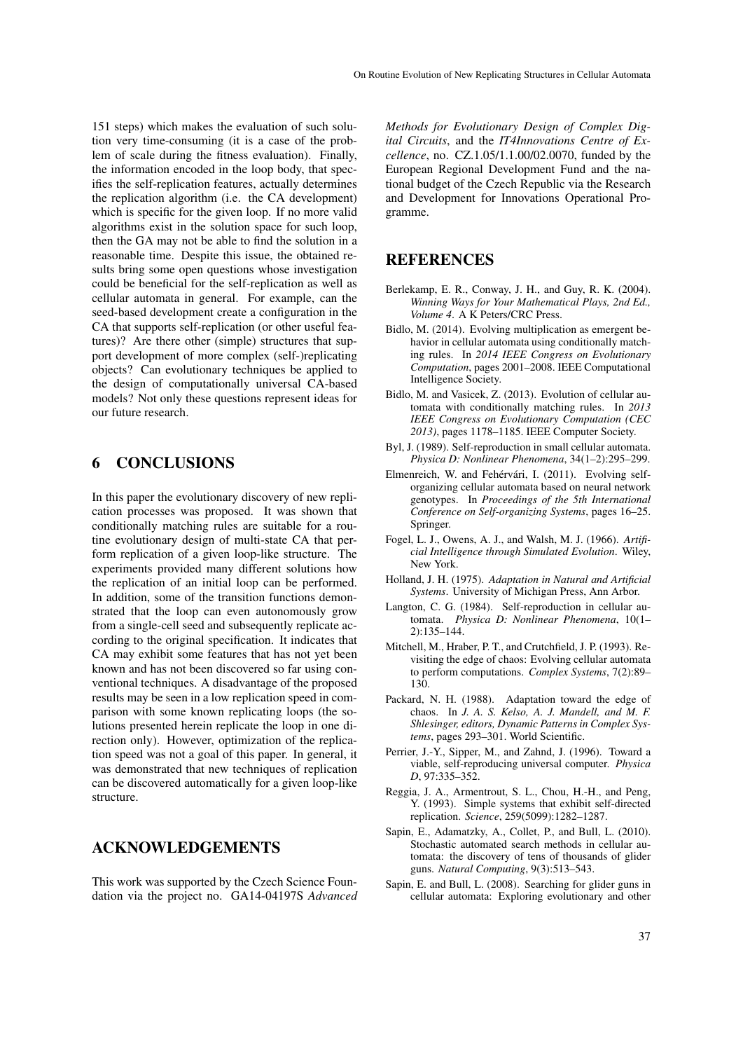151 steps) which makes the evaluation of such solution very time-consuming (it is a case of the problem of scale during the fitness evaluation). Finally, the information encoded in the loop body, that specifies the self-replication features, actually determines the replication algorithm (i.e. the CA development) which is specific for the given loop. If no more valid algorithms exist in the solution space for such loop, then the GA may not be able to find the solution in a reasonable time. Despite this issue, the obtained results bring some open questions whose investigation could be beneficial for the self-replication as well as cellular automata in general. For example, can the seed-based development create a configuration in the CA that supports self-replication (or other useful features)? Are there other (simple) structures that support development of more complex (self-)replicating objects? Can evolutionary techniques be applied to the design of computationally universal CA-based models? Not only these questions represent ideas for our future research.

### 6 CONCLUSIONS

In this paper the evolutionary discovery of new replication processes was proposed. It was shown that conditionally matching rules are suitable for a routine evolutionary design of multi-state CA that perform replication of a given loop-like structure. The experiments provided many different solutions how the replication of an initial loop can be performed. In addition, some of the transition functions demonstrated that the loop can even autonomously grow from a single-cell seed and subsequently replicate according to the original specification. It indicates that CA may exhibit some features that has not yet been known and has not been discovered so far using conventional techniques. A disadvantage of the proposed results may be seen in a low replication speed in comparison with some known replicating loops (the solutions presented herein replicate the loop in one direction only). However, optimization of the replication speed was not a goal of this paper. In general, it was demonstrated that new techniques of replication can be discovered automatically for a given loop-like structure.

#### ACKNOWLEDGEMENTS

This work was supported by the Czech Science Foundation via the project no. GA14-04197S *Advanced* *Methods for Evolutionary Design of Complex Digital Circuits*, and the *IT4Innovations Centre of Excellence*, no. CZ.1.05/1.1.00/02.0070, funded by the European Regional Development Fund and the national budget of the Czech Republic via the Research and Development for Innovations Operational Programme.

#### REFERENCES

- Berlekamp, E. R., Conway, J. H., and Guy, R. K. (2004). *Winning Ways for Your Mathematical Plays, 2nd Ed., Volume 4*. A K Peters/CRC Press.
- Bidlo, M. (2014). Evolving multiplication as emergent behavior in cellular automata using conditionally matching rules. In *2014 IEEE Congress on Evolutionary Computation*, pages 2001–2008. IEEE Computational Intelligence Society.
- Bidlo, M. and Vasicek, Z. (2013). Evolution of cellular automata with conditionally matching rules. In *2013 IEEE Congress on Evolutionary Computation (CEC 2013)*, pages 1178–1185. IEEE Computer Society.
- Byl, J. (1989). Self-reproduction in small cellular automata. *Physica D: Nonlinear Phenomena*, 34(1–2):295–299.
- Elmenreich, W. and Fehérvári, I. (2011). Evolving selforganizing cellular automata based on neural network genotypes. In *Proceedings of the 5th International Conference on Self-organizing Systems*, pages 16–25. Springer.
- Fogel, L. J., Owens, A. J., and Walsh, M. J. (1966). *Artificial Intelligence through Simulated Evolution*. Wiley, New York.
- Holland, J. H. (1975). *Adaptation in Natural and Artificial Systems*. University of Michigan Press, Ann Arbor.
- Langton, C. G. (1984). Self-reproduction in cellular automata. *Physica D: Nonlinear Phenomena*, 10(1– 2):135–144.
- Mitchell, M., Hraber, P. T., and Crutchfield, J. P. (1993). Revisiting the edge of chaos: Evolving cellular automata to perform computations. *Complex Systems*, 7(2):89– 130.
- Packard, N. H. (1988). Adaptation toward the edge of chaos. In *J. A. S. Kelso, A. J. Mandell, and M. F. Shlesinger, editors, Dynamic Patterns in Complex Systems*, pages 293–301. World Scientific.
- Perrier, J.-Y., Sipper, M., and Zahnd, J. (1996). Toward a viable, self-reproducing universal computer. *Physica D*, 97:335–352.
- Reggia, J. A., Armentrout, S. L., Chou, H.-H., and Peng, Y. (1993). Simple systems that exhibit self-directed replication. *Science*, 259(5099):1282–1287.
- Sapin, E., Adamatzky, A., Collet, P., and Bull, L. (2010). Stochastic automated search methods in cellular automata: the discovery of tens of thousands of glider guns. *Natural Computing*, 9(3):513–543.
- Sapin, E. and Bull, L. (2008). Searching for glider guns in cellular automata: Exploring evolutionary and other